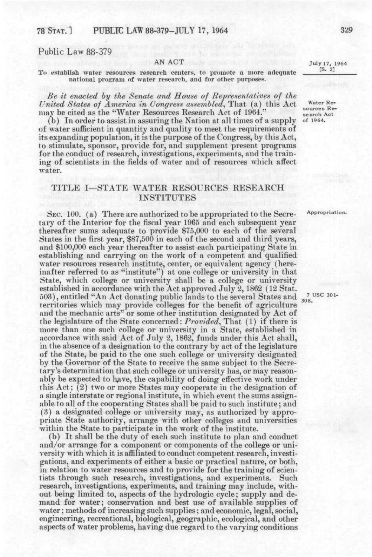# Public Law 88-379

#### AN ACT

To establish water resources research centers, to promote a more adequate national program of water research, and for other purposes.

*Be it enacted hy the Senate and House of Representatwes of the United States of America in Congress assembled,* That (a) this Act may be cited as the "Water Resources Research Act of 1964."

(b) In order to assist in assuring the Nation at all times of a supply of water sufficient in quantity and quality to meet the requirements of its expanding population, it is the purpose of the Congress, by this Act, to stimulate, sponsor, provide for, and supplement present programs for the conduct of research, investigations, experiments, and the training of scientists in the fields of water and of resources which affect water.

## TITLE I—STATE WATER RESOURCES RESEARCH INSTITUTES

SEC. 100. (a) There are authorized to be appropriated to the Secretary of the Interior for the fiscal year 1965 and each subsequent year thereafter sums adequate to provide \$75,000 to each of the several States in the first year, \$87,500 in each of the second and third years, and \$100,000 each year thereafter to assist each participating State in establishing and carrying on the work of a competent and qualified water resources research institute, center, or equivalent agency (hereinafter referred to as "institute") at one college or university in that State, which college or university shall be a college or university established in accordance with the Act approved July 2,1862 (12 Stat. 503), entitled "An Act donating public lands to the several States and 308. territories which may provide colleges for the benefit of agriculture and the mechanic arts" or some other institution designated by Act of the legislature of the State concerned: *Provided,* That (1) if there is more than one such college or university in a State, established in accordance with said Act of July 2, 1862, funds under this Act shall, in the absence of a designation to the contrary by act of the legislature of the State, be paid to the one such college or university designated by the Governor of the State to receive the same subject to the Secretary's determination that such college or university has, or may reasonably be expected to have, the capability of doing effective work under this Act; (2) two or more States may cooperate in the designation of a single interstate or regional institute, in which event the sums assignable to all of the cooperating States shall be paid to such institute; and (3) a designated college or university may, as authorized by appropriate State authority, arrange with other colleges and universities within the State to participate in the work of the institute.

(b) It shall be the duty of each such institute to plan and conduct and/or arrange for a component or components of the college or university with which it is affiliated to conduct competent research, investigations, and experiments of either a basic or practical nature, or both, in relation to water resources and to provide for the training of scientists through such research, investigations, and experiments. Such research, investigations, experiments, and training may include, without being limited to, aspects of the hydrologic cycle; supply and demand for water; conservation and best use of available supplies of water; methods of increasing such supplies; and economic, legal, social, engineering, recreational, biological, geographic, ecological, and other aspects of water problems, having due regard to the varying conditions

July 17, 1964 **[S. 2]** 

Water Resources Research Act of 1964.

Appropriation.

7 USC 301-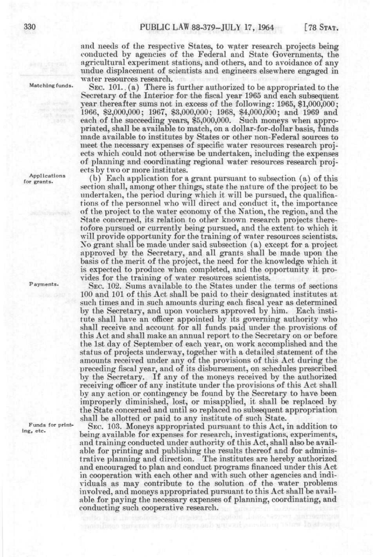and needs of the respective States, to water research projects being conducted by agencies of the Federal and State Governments, the agricultural experiment stations, and others, and to avoidance of any imdue displacement of scientists and engineers elsewhere engaged in water resources research.

Matching funds.

SEC. 101. (a) There is further authorized to be appropriated to the Secretary of the Interior for the fiscal year 1965 and each subsequent year thereafter sums not in excess of the following: 1965, \$1,000,000; 1966, \$2,000,000; 1967, \$3,000,000; 1968, \$4,000,000; and 1969 and each of the succeeding years, \$5,000,000. Such moneys when appropriated, shall be available to match, on a dollar-for-dollar basis, funds made available to institutes by States or other non-Federal sources to meet the necessary expenses of specific water resources research projects which could not otherwise be undertaken, including the expenses of planning and coordinating regional water resources research projects by two or more institutes.

(b) Each application for a grant pursuant to subsection (a) of this section shall, among other things, state the nature of the project to be undertaken, the period during which it will be pursued, the qualifications of the personnel who will direct and conduct it, the importance of the project to the water economy of the Nation, the region, and the State concerned, its relation to other known research projects theretofore pursued or currently being pursued, and the extent to which it will provide opportunity for the training of water resources scientists. Xo grant shall be made under said subsection (a) except for a project approved by the Secretary, and all grants shall be made upon the basis of the merit of the project, the need for the knowledge which it is expected to produce when completed, and the opportunity it provides for the training of water resources scientists.

SEC. 102. Sums available to the States under the terms of sections 100 and 101 of this Act shall be paid to their designated institutes at such times and in such amounts during each fiscal year as determined by the Secretary, and upon vouchers approved by him. Each institute shall have an officer appointed by its governing authority who shall receive and account for all funds paid under the provisions of this Act and shall make an annual report to the Secretary on or before the 1st day of September of each year, on work accomplished and the status of projects underway, together with a detailed statement of the amounts received under any of the provisions of this Act during the preceding fiscal year, and of its disbursement, on schedules prescribed by the Secretary. If any of the moneys received by the authorized receiving officer of any institute under the provisions of this Act shall by any action or contingency be found by the Secretary to have been improperly diminished, lost, or misapplied, it shall be replaced by the State concerned and until so replaced no subsequent appropriation shall be allotted or paid to any institute of such State.

SEC. 103. Moneys appropriated pursuant to this Act, in addition to being available for expenses for research, investigations, experiments, and training conducted under authority of this Act, shall also be available for printing and publishing the results thereof and for administrative planning and direction. The institutes are hereby authorized and encouraged to plan and conduct programs financed under this Act in cooperation with each other and with such other agencies and individuals as may contribute to the solution of the water problems involved, and moneys appropriated pursuant to this Act shall be available for paying the necessary expenses of planning, coordinating, and conducting such cooperative research.

Applications for grants.

Payments.

Funds for printing, etc.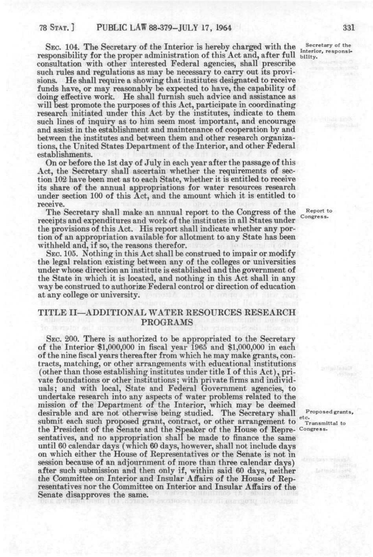SEC. 104. The Secretary of the Interior is hereby charged with the Secretary of the responsibility for the proper administration of this Act and, after full bility. consultation with other interested Federal agencies, shall prescribe such rules and regulations as may be necessary to carry out its provisions. He shall require a showing that institutes designated to receive funds have, or may reasonably be expected to have, the capability of doing effective work. He shall furnish such advice and assistance as will best promote the purposes of this Act, participate in coordinating research initiated under this Act by the institutes, indicate to them such lines of inquiry as to him seem most important, and encourage and assist in the establishment and maintenance of cooperation by and between the institutes and between them and other research organizations, the United States Department of the Interior, and other Federal establishments.

On or before the 1st day of July in each year after the passage of this Act, the Secretary shall ascertain whether the requirements of section 102 have been met as to each State, whether it is entitled to receive its share of the annual appropriations for water resources research under section 100 of this Act, and the amount which it is entitled to receive.

The Secretary shall make an annual report to the Congress of the receipts and expenditures and work of the institutes in all States under the provisions of this Act. His report shall indicate whether any portion of an appropriation available for allotment to any State has been withheld and, if so, the reasons therefor.

SEC. 105. Nothing in this Act shall be construed to impair or modify the legal relation existing between any of the colleges or universities under whose direction an institute is established and the government of the State in which it is located, and nothing in this Act shall in any way be construed to authorize Federal control or direction of education at any college or university.

# TITLE II—ADDITIONAL WATER RESOURCES RESEARCH PROGRAMS

SEC. 200. There is authorized to be appropriated to the Secretary of the Interior \$1,000,000 in fiscal year 1965 and \$1,000,000 in each of the nine fiscal years thereafter from which he may make grants, contracts, matching, or other arrangements with educational institutions (other than those establishing institutes under title I of this Act), private foundations or other institutions; with private firms and individuals; and with local. State and Federal Government agencies, to undertake research into any aspects of water problems related to the mission of the Department of the Interior, which may be deemed desirable and are not otherwise being studied. The Secretary shall submit each such proposed grant, contract, or other arrangement to the President of the Senate and the Speaker of the House of Representatives, and no appropriation shall be made to finance the same until 60 calendar days (which 60 days, however, shall not include days on which either the House of Representatives or the Senate is not in session because of an adjournment of more than three calendar days) after such submission and then only if, within said 60 days, neither the Committee on Interior and Insular Affairs of the House of Representatives nor the Committee on Interior and Insular Affairs of the Senate disapproves the same.

Report to Congress.

Proposed grants, etc. Transmittal to Congress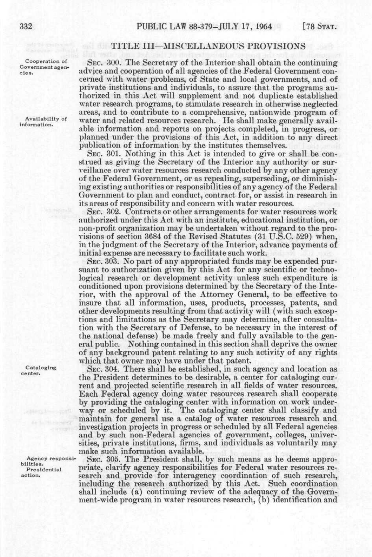Cooperation of Government agen-

Availability of information.

Cataloging center.

Agency responsibilities. Presidential action.

### TITLE III—MISCELLANEOUS PEOVISIONS

SEC. 300. The Secretary of the Interior shall obtain the continuing advice and cooperation of all agencies of the Federal Government concerned with water problems, of State and local governments, and of private institutions and individuals, to assure that the programs authorized in this Act will supplement and not duplicate established water research programs, to stimulate research in otherwise neglected areas, and to contribute to a comprehensive, nationwide program of water and related resources research. He shall make generally available information and reports on projects completed, in progress, or planned under the provisions of this Act, in addition to any direct publication of information by the institutes themselves.

SEC. 301. Nothing in this Act is intended to give or shall be construed as giving the Secretary of the Interior any authority or surveillance over water resources research conducted by any other agency of the Federal Government, or as repealing, superseding, or diminishing existing authorities or responsibilities of any agency of the Federal Government to plan and conduct, contract for, or assist in research in its areas of responsibility and concern with water resources.

SEC. 302. Contracts or other arrangements for water resources work authorized under this Act with an institute, educational institution, or non-profit organization may be undertaken without regard to the provisions of section 3684 of the Kevised Statutes (31 U.S.C. 529) when, in the judgment of the Secretary of the Interior, advance payments of initial expense are necessary to facilitate such work.

SEC. 303. No part of any appropriated funds may be expended pursuant to authorization given by this Act for any scientific or technological research or development activity unless such expenditure is conditioned upon provisions determined by the Secretary of the Interior, with the approval of the Attorney General, to be effective to insure that all information, uses, products, processes, patents, and other developments resulting from that activity will (with such exceptions and limitations as the Secretary may determine, after consultation with the Secretary of Defense, to be necessary in the interest of the national defense) be made freely and fully available to the general public. Nothing contained in this section shall deprive the owner of any background patent relating to any such activity of any rights which that owner may have under that patent.

SEC. 304. There shall be established, in such agency and location as the President determines to be desirable, a center for cataloging current and projected scientific research in all fields of water resources. Each Federal agency doing water resources research shall cooperate by providing the cataloging center with information on work underway or scheduled by it. The cataloging center shall classify and maintain for general use a catalog of water resources research and investigation projects in progress or scheduled by all Federal agencies and by such non-Federal agencies of government, colleges, universities, private institutions, firms, and individuals as voluntarily may make such information available.

SEC. 305. The President shall, by such means as he deems appropriate, clarify agency responsibilities for Federal water resources research and provide for interagency coordination of such research, including the research authorized by this Act. Such coordination shall include (a) continuing review of the adequacy of the Government-wide program in water resources research, (b) identification and